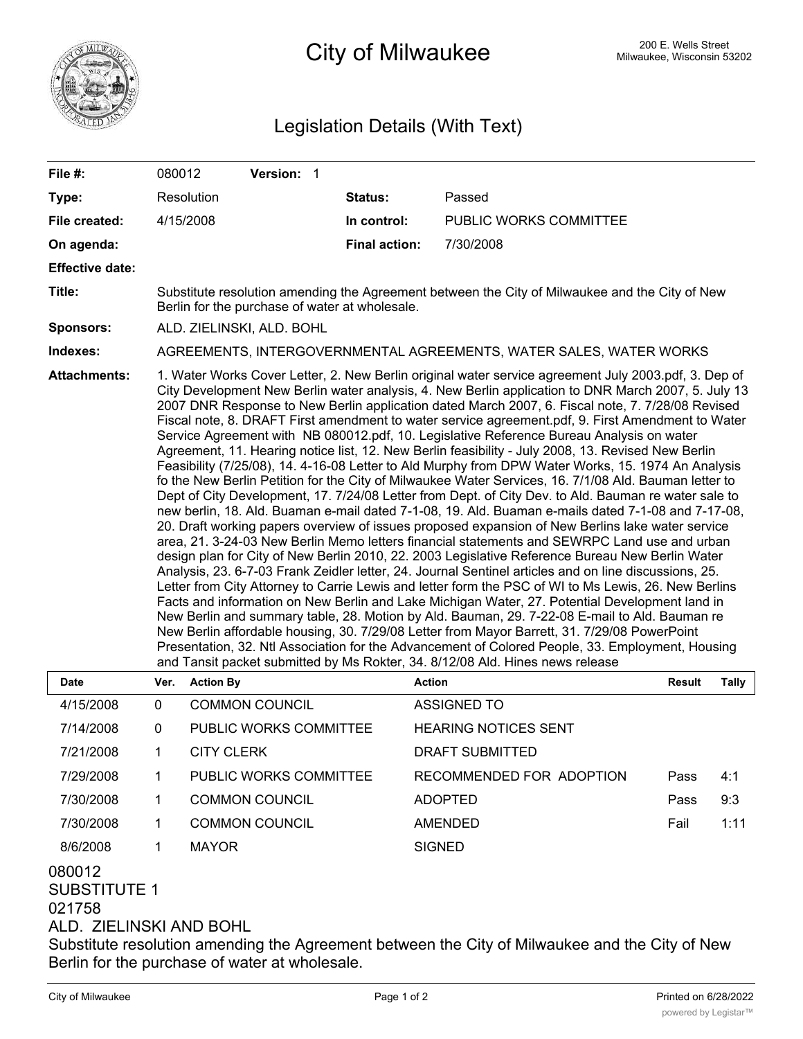

## City of Milwaukee Milwaukee, Wisconsin 53202

## Legislation Details (With Text)

| File #:                | 080012                                                                                                                                                                                                                                                                                                                                                                                                                                                                                                                                                                                                                                                                                                                                                                                                                                                                                                                                                                                                                                                                                                                                                                                                                                                                                                                                                                                                                                                                                                                                                                                                                                                                                                                                                                                                                                                                                                                                                                                                                                                              |                  | Version: 1            |                      |                               |                               |  |  |  |  |
|------------------------|---------------------------------------------------------------------------------------------------------------------------------------------------------------------------------------------------------------------------------------------------------------------------------------------------------------------------------------------------------------------------------------------------------------------------------------------------------------------------------------------------------------------------------------------------------------------------------------------------------------------------------------------------------------------------------------------------------------------------------------------------------------------------------------------------------------------------------------------------------------------------------------------------------------------------------------------------------------------------------------------------------------------------------------------------------------------------------------------------------------------------------------------------------------------------------------------------------------------------------------------------------------------------------------------------------------------------------------------------------------------------------------------------------------------------------------------------------------------------------------------------------------------------------------------------------------------------------------------------------------------------------------------------------------------------------------------------------------------------------------------------------------------------------------------------------------------------------------------------------------------------------------------------------------------------------------------------------------------------------------------------------------------------------------------------------------------|------------------|-----------------------|----------------------|-------------------------------|-------------------------------|--|--|--|--|
| Type:                  | Resolution                                                                                                                                                                                                                                                                                                                                                                                                                                                                                                                                                                                                                                                                                                                                                                                                                                                                                                                                                                                                                                                                                                                                                                                                                                                                                                                                                                                                                                                                                                                                                                                                                                                                                                                                                                                                                                                                                                                                                                                                                                                          |                  |                       | Status:              | Passed                        |                               |  |  |  |  |
| File created:          | 4/15/2008                                                                                                                                                                                                                                                                                                                                                                                                                                                                                                                                                                                                                                                                                                                                                                                                                                                                                                                                                                                                                                                                                                                                                                                                                                                                                                                                                                                                                                                                                                                                                                                                                                                                                                                                                                                                                                                                                                                                                                                                                                                           |                  |                       | In control:          | <b>PUBLIC WORKS COMMITTEE</b> |                               |  |  |  |  |
| On agenda:             |                                                                                                                                                                                                                                                                                                                                                                                                                                                                                                                                                                                                                                                                                                                                                                                                                                                                                                                                                                                                                                                                                                                                                                                                                                                                                                                                                                                                                                                                                                                                                                                                                                                                                                                                                                                                                                                                                                                                                                                                                                                                     |                  |                       | <b>Final action:</b> | 7/30/2008                     |                               |  |  |  |  |
| <b>Effective date:</b> |                                                                                                                                                                                                                                                                                                                                                                                                                                                                                                                                                                                                                                                                                                                                                                                                                                                                                                                                                                                                                                                                                                                                                                                                                                                                                                                                                                                                                                                                                                                                                                                                                                                                                                                                                                                                                                                                                                                                                                                                                                                                     |                  |                       |                      |                               |                               |  |  |  |  |
| Title:                 | Substitute resolution amending the Agreement between the City of Milwaukee and the City of New<br>Berlin for the purchase of water at wholesale.                                                                                                                                                                                                                                                                                                                                                                                                                                                                                                                                                                                                                                                                                                                                                                                                                                                                                                                                                                                                                                                                                                                                                                                                                                                                                                                                                                                                                                                                                                                                                                                                                                                                                                                                                                                                                                                                                                                    |                  |                       |                      |                               |                               |  |  |  |  |
| <b>Sponsors:</b>       | ALD. ZIELINSKI, ALD. BOHL                                                                                                                                                                                                                                                                                                                                                                                                                                                                                                                                                                                                                                                                                                                                                                                                                                                                                                                                                                                                                                                                                                                                                                                                                                                                                                                                                                                                                                                                                                                                                                                                                                                                                                                                                                                                                                                                                                                                                                                                                                           |                  |                       |                      |                               |                               |  |  |  |  |
| Indexes:               | AGREEMENTS, INTERGOVERNMENTAL AGREEMENTS, WATER SALES, WATER WORKS                                                                                                                                                                                                                                                                                                                                                                                                                                                                                                                                                                                                                                                                                                                                                                                                                                                                                                                                                                                                                                                                                                                                                                                                                                                                                                                                                                                                                                                                                                                                                                                                                                                                                                                                                                                                                                                                                                                                                                                                  |                  |                       |                      |                               |                               |  |  |  |  |
| <b>Attachments:</b>    | 1. Water Works Cover Letter, 2. New Berlin original water service agreement July 2003.pdf, 3. Dep of<br>City Development New Berlin water analysis, 4. New Berlin application to DNR March 2007, 5. July 13<br>2007 DNR Response to New Berlin application dated March 2007, 6. Fiscal note, 7. 7/28/08 Revised<br>Fiscal note, 8. DRAFT First amendment to water service agreement.pdf, 9. First Amendment to Water<br>Service Agreement with NB 080012.pdf, 10. Legislative Reference Bureau Analysis on water<br>Agreement, 11. Hearing notice list, 12. New Berlin feasibility - July 2008, 13. Revised New Berlin<br>Feasibility (7/25/08), 14. 4-16-08 Letter to Ald Murphy from DPW Water Works, 15. 1974 An Analysis<br>fo the New Berlin Petition for the City of Milwaukee Water Services, 16. 7/1/08 Ald. Bauman letter to<br>Dept of City Development, 17. 7/24/08 Letter from Dept. of City Dev. to Ald. Bauman re water sale to<br>new berlin, 18. Ald. Buaman e-mail dated 7-1-08, 19. Ald. Buaman e-mails dated 7-1-08 and 7-17-08,<br>20. Draft working papers overview of issues proposed expansion of New Berlins lake water service<br>area, 21. 3-24-03 New Berlin Memo letters financial statements and SEWRPC Land use and urban<br>design plan for City of New Berlin 2010, 22. 2003 Legislative Reference Bureau New Berlin Water<br>Analysis, 23. 6-7-03 Frank Zeidler letter, 24. Journal Sentinel articles and on line discussions, 25.<br>Letter from City Attorney to Carrie Lewis and letter form the PSC of WI to Ms Lewis, 26. New Berlins<br>Facts and information on New Berlin and Lake Michigan Water, 27. Potential Development land in<br>New Berlin and summary table, 28. Motion by Ald. Bauman, 29. 7-22-08 E-mail to Ald. Bauman re<br>New Berlin affordable housing, 30. 7/29/08 Letter from Mayor Barrett, 31. 7/29/08 PowerPoint<br>Presentation, 32. Ntl Association for the Advancement of Colored People, 33. Employment, Housing<br>and Tansit packet submitted by Ms Rokter, 34. 8/12/08 Ald. Hines news release |                  |                       |                      |                               |                               |  |  |  |  |
| <b>Date</b>            | Ver.                                                                                                                                                                                                                                                                                                                                                                                                                                                                                                                                                                                                                                                                                                                                                                                                                                                                                                                                                                                                                                                                                                                                                                                                                                                                                                                                                                                                                                                                                                                                                                                                                                                                                                                                                                                                                                                                                                                                                                                                                                                                | <b>Action By</b> |                       | <b>Action</b>        |                               | <b>Result</b><br><b>Tally</b> |  |  |  |  |
| 4/15/2008              | 0                                                                                                                                                                                                                                                                                                                                                                                                                                                                                                                                                                                                                                                                                                                                                                                                                                                                                                                                                                                                                                                                                                                                                                                                                                                                                                                                                                                                                                                                                                                                                                                                                                                                                                                                                                                                                                                                                                                                                                                                                                                                   |                  | <b>COMMON COUNCIL</b> |                      | <b>ASSIGNED TO</b>            |                               |  |  |  |  |

| 4/15/2008                                                   | 0 | COMMON COUNCIL         | ASSIGNED TO                                                                                    |      |      |
|-------------------------------------------------------------|---|------------------------|------------------------------------------------------------------------------------------------|------|------|
| 7/14/2008                                                   | 0 | PUBLIC WORKS COMMITTEE | <b>HEARING NOTICES SENT</b>                                                                    |      |      |
| 7/21/2008                                                   | 1 | <b>CITY CLERK</b>      | <b>DRAFT SUBMITTED</b>                                                                         |      |      |
| 7/29/2008                                                   | 1 | PUBLIC WORKS COMMITTEE | RECOMMENDED FOR ADOPTION                                                                       | Pass | 4:1  |
| 7/30/2008                                                   |   | <b>COMMON COUNCIL</b>  | <b>ADOPTED</b>                                                                                 | Pass | 9:3  |
| 7/30/2008                                                   | 1 | <b>COMMON COUNCIL</b>  | <b>AMENDED</b>                                                                                 | Fail | 1:11 |
| 8/6/2008                                                    | 1 | <b>MAYOR</b>           | <b>SIGNED</b>                                                                                  |      |      |
| 080012<br>SUBSTITUTE 1<br>021758<br>ALD. ZIELINSKI AND BOHL |   |                        | Substitute resolution amending the Agreement between the City of Milwaukee and the City of New |      |      |

Berlin for the purchase of water at wholesale.